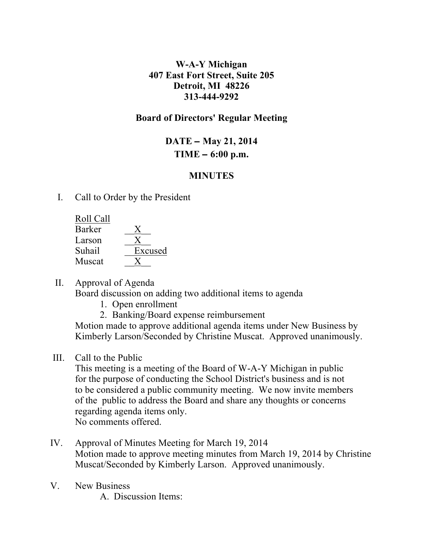### **W-A-Y Michigan 407 East Fort Street, Suite 205 Detroit, MI 48226 313-444-9292**

## **Board of Directors' Regular Meeting**

# **DATE** – **May 21, 2014 TIME** – **6:00 p.m.**

# **MINUTES**

I. Call to Order by the President

| Roll Call     |         |
|---------------|---------|
| <b>Barker</b> |         |
| Larson        |         |
| Suhail        | Excused |
| Muscat        |         |
|               |         |

II. Approval of Agenda

Board discussion on adding two additional items to agenda

- 1. Open enrollment
- 2. Banking/Board expense reimbursement

Motion made to approve additional agenda items under New Business by Kimberly Larson/Seconded by Christine Muscat. Approved unanimously.

III. Call to the Public

 This meeting is a meeting of the Board of W-A-Y Michigan in public for the purpose of conducting the School District's business and is not to be considered a public community meeting. We now invite members of the public to address the Board and share any thoughts or concerns regarding agenda items only. No comments offered.

- IV. Approval of Minutes Meeting for March 19, 2014 Motion made to approve meeting minutes from March 19, 2014 by Christine Muscat/Seconded by Kimberly Larson. Approved unanimously.
- V. New Business

A. Discussion Items: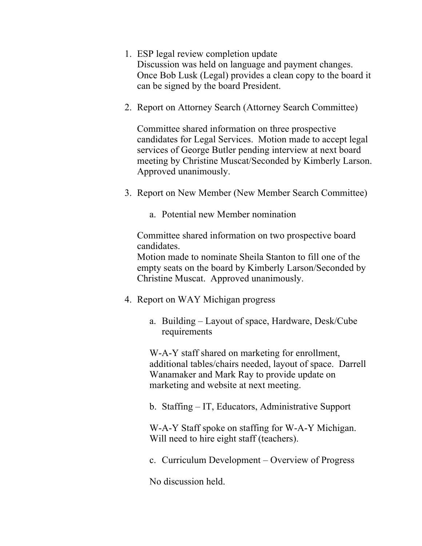- 1. ESP legal review completion update Discussion was held on language and payment changes. Once Bob Lusk (Legal) provides a clean copy to the board it can be signed by the board President.
- 2. Report on Attorney Search (Attorney Search Committee)

Committee shared information on three prospective candidates for Legal Services. Motion made to accept legal services of George Butler pending interview at next board meeting by Christine Muscat/Seconded by Kimberly Larson. Approved unanimously.

- 3. Report on New Member (New Member Search Committee)
	- a. Potential new Member nomination

Committee shared information on two prospective board candidates.

Motion made to nominate Sheila Stanton to fill one of the empty seats on the board by Kimberly Larson/Seconded by Christine Muscat. Approved unanimously.

- 4. Report on WAY Michigan progress
	- a. Building Layout of space, Hardware, Desk/Cube requirements

W-A-Y staff shared on marketing for enrollment, additional tables/chairs needed, layout of space. Darrell Wanamaker and Mark Ray to provide update on marketing and website at next meeting.

b. Staffing – IT, Educators, Administrative Support

W-A-Y Staff spoke on staffing for W-A-Y Michigan. Will need to hire eight staff (teachers).

c. Curriculum Development – Overview of Progress

No discussion held.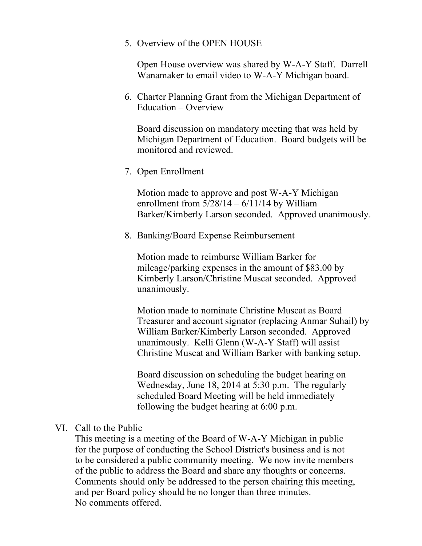5. Overview of the OPEN HOUSE

Open House overview was shared by W-A-Y Staff. Darrell Wanamaker to email video to W-A-Y Michigan board.

6. Charter Planning Grant from the Michigan Department of Education – Overview

Board discussion on mandatory meeting that was held by Michigan Department of Education. Board budgets will be monitored and reviewed.

7. Open Enrollment

Motion made to approve and post W-A-Y Michigan enrollment from  $5/28/14 - 6/11/14$  by William Barker/Kimberly Larson seconded. Approved unanimously.

8. Banking/Board Expense Reimbursement

Motion made to reimburse William Barker for mileage/parking expenses in the amount of \$83.00 by Kimberly Larson/Christine Muscat seconded. Approved unanimously.

Motion made to nominate Christine Muscat as Board Treasurer and account signator (replacing Anmar Suhail) by William Barker/Kimberly Larson seconded. Approved unanimously. Kelli Glenn (W-A-Y Staff) will assist Christine Muscat and William Barker with banking setup.

Board discussion on scheduling the budget hearing on Wednesday, June 18, 2014 at 5:30 p.m. The regularly scheduled Board Meeting will be held immediately following the budget hearing at 6:00 p.m.

#### VI. Call to the Public

This meeting is a meeting of the Board of W-A-Y Michigan in public for the purpose of conducting the School District's business and is not to be considered a public community meeting. We now invite members of the public to address the Board and share any thoughts or concerns. Comments should only be addressed to the person chairing this meeting, and per Board policy should be no longer than three minutes. No comments offered.